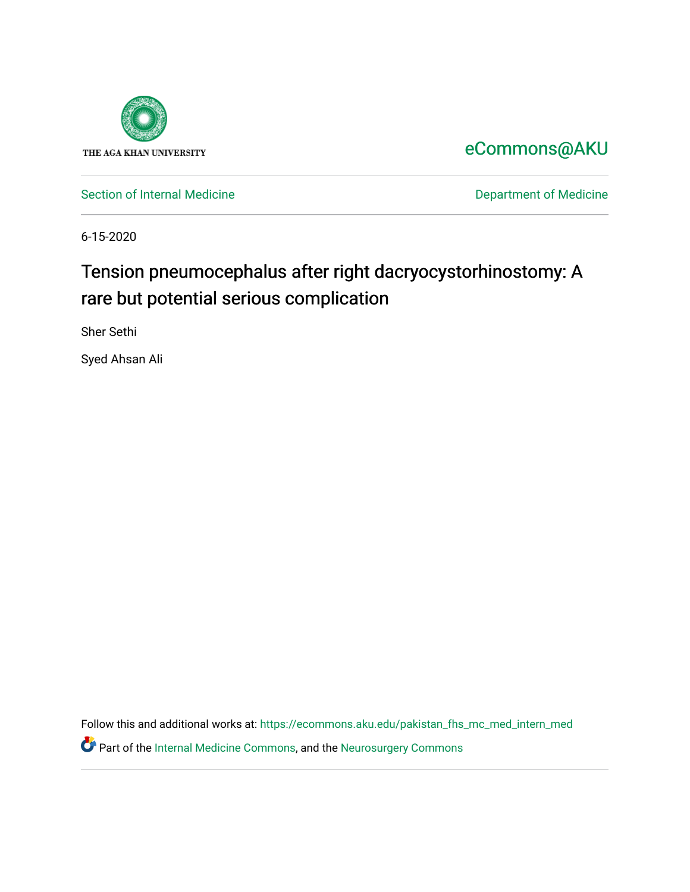

[eCommons@AKU](https://ecommons.aku.edu/) 

[Section of Internal Medicine](https://ecommons.aku.edu/pakistan_fhs_mc_med_intern_med) **Department of Medicine** Department of Medicine

6-15-2020

## Tension pneumocephalus after right dacryocystorhinostomy: A rare but potential serious complication

Sher Sethi

Syed Ahsan Ali

Follow this and additional works at: [https://ecommons.aku.edu/pakistan\\_fhs\\_mc\\_med\\_intern\\_med](https://ecommons.aku.edu/pakistan_fhs_mc_med_intern_med?utm_source=ecommons.aku.edu%2Fpakistan_fhs_mc_med_intern_med%2F162&utm_medium=PDF&utm_campaign=PDFCoverPages)  Part of the [Internal Medicine Commons](http://network.bepress.com/hgg/discipline/1356?utm_source=ecommons.aku.edu%2Fpakistan_fhs_mc_med_intern_med%2F162&utm_medium=PDF&utm_campaign=PDFCoverPages), and the [Neurosurgery Commons](http://network.bepress.com/hgg/discipline/1428?utm_source=ecommons.aku.edu%2Fpakistan_fhs_mc_med_intern_med%2F162&utm_medium=PDF&utm_campaign=PDFCoverPages)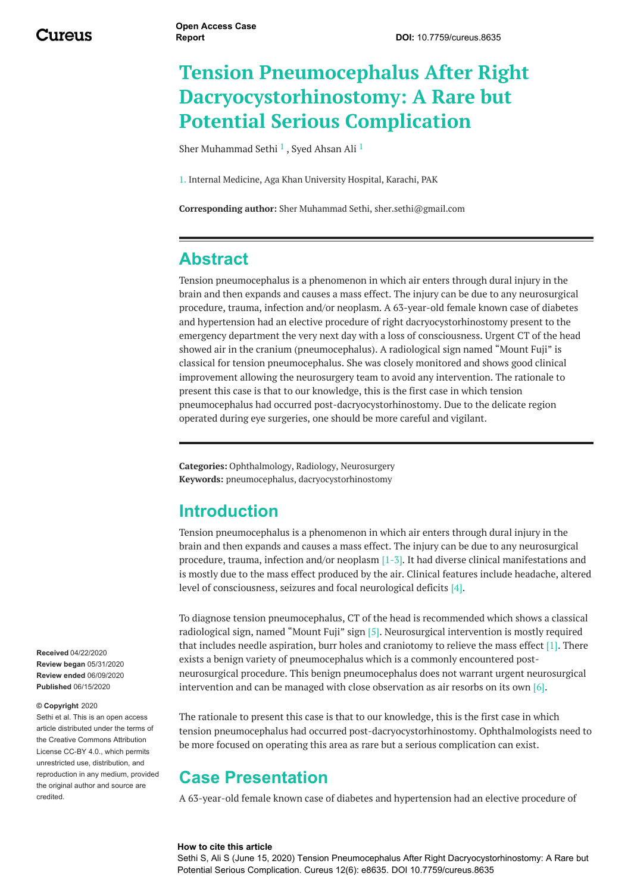# **Tension Pneumocephalus After Right Dacryocystorhinostomy: A Rare but Potential Serious Complication**

Sher [Muhammad](https://www.cureus.com/users/160438-sher-muhammad-sethi) Sethi $\,$ <sup>1</sup> , Syed [Ahsan](https://www.cureus.com/users/45519-syed-ahsan-ali) Ali $\,$ <sup>1</sup>

1. Internal Medicine, Aga Khan University Hospital, Karachi, PAK

**Corresponding author:** Sher Muhammad Sethi, sher.sethi@gmail.com

### **Abstract**

<span id="page-1-0"></span>Tension pneumocephalus is a phenomenon in which air enters through dural injury in the brain and then expands and causes a mass effect. The injury can be due to any neurosurgical procedure, trauma, infection and/or neoplasm. A 63-year-old female known case of diabetes and hypertension had an elective procedure of right dacryocystorhinostomy present to the emergency department the very next day with a loss of consciousness. Urgent CT of the head showed air in the cranium (pneumocephalus). A radiological sign named "Mount Fuji" is classical for tension pneumocephalus. She was closely monitored and shows good clinical improvement allowing the neurosurgery team to avoid any intervention. The rationale to present this case is that to our knowledge, this is the first case in which tension pneumocephalus had occurred post-dacryocystorhinostomy. Due to the delicate region operated during eye surgeries, one should be more careful and vigilant.

**Categories:** Ophthalmology, Radiology, Neurosurgery **Keywords:** pneumocephalus, dacryocystorhinostomy

#### **Introduction**

Tension pneumocephalus is a phenomenon in which air enters through dural injury in the brain and then expands and causes a mass effect. The injury can be due to any neurosurgical procedure, trauma, infection and/or neoplasm [1-3]. It had diverse clinical manifestations and is mostly due to the mass effect produced by the air. Clinical features include headache, altered level of consciousness, seizures and focal neurological deficits [4].

To diagnose tension pneumocephalus, CT of the head is recommended which shows a classical radiological sign, named "Mount Fuji" sign [5]. Neurosurgical intervention is mostly required that includes needle aspiration, burr holes and craniotomy to relieve the mass effect  $[1]$ . There exists a benign variety of pneumocephalus which is a commonly encountered postneurosurgical procedure. This benign pneumocephalus does not warrant urgent neurosurgical intervention and can be managed with close observation as air resorbs on its own  $[6]$ .

The rationale to present this case is that to our knowledge, this is the first case in which tension pneumocephalus had occurred post-dacryocystorhinostomy. Ophthalmologists need to be more focused on operating this area as rare but a serious complication can exist.

#### **Case Presentation**

A 63-year-old female known case of diabetes and hypertension had an elective procedure of

#### **How to cite this article**

Sethi S, Ali S (June 15, 2020) Tension Pneumocephalus After Right Dacryocystorhinostomy: A Rare but Potential Serious Complication. Cureus 12(6): e8635. DOI 10.7759/cureus.8635

**Received** 04/22/2020 **Review began** 05/31/2020 **Review ended** 06/09/2020 **Published** 06/15/2020

#### **© Copyright** 2020

Sethi et al. This is an open access article distributed under the terms of the Creative Commons Attribution License CC-BY 4.0., which permits unrestricted use, distribution, and reproduction in any medium, provided the original author and source are credited.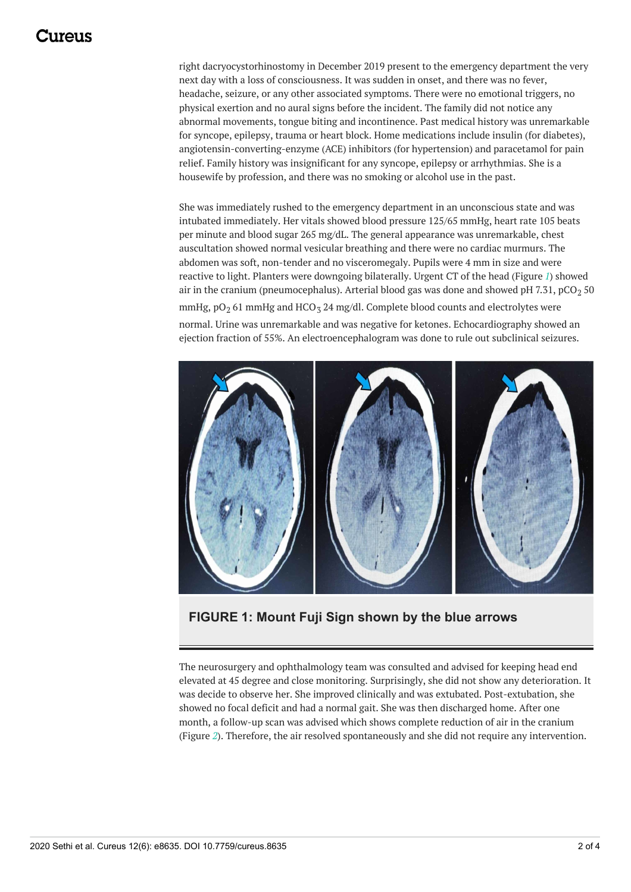### 117A119

<span id="page-2-0"></span>right dacryocystorhinostomy in December 2019 present to the emergency department the very next day with a loss of consciousness. It was sudden in onset, and there was no fever, headache, seizure, or any other associated symptoms. There were no emotional triggers, no physical exertion and no aural signs before the incident. The family did not notice any abnormal movements, tongue biting and incontinence. Past medical history was unremarkable for syncope, epilepsy, trauma or heart block. Home medications include insulin (for diabetes), angiotensin-converting-enzyme (ACE) inhibitors (for hypertension) and paracetamol for pain relief. Family history was insignificant for any syncope, epilepsy or arrhythmias. She is a housewife by profession, and there was no smoking or alcohol use in the past.

She was immediately rushed to the emergency department in an unconscious state and was intubated immediately. Her vitals showed blood pressure 125/65 mmHg, heart rate 105 beats per minute and blood sugar 265 mg/dL. The general appearance was unremarkable, chest auscultation showed normal vesicular breathing and there were no cardiac murmurs. The abdomen was soft, non-tender and no visceromegaly. Pupils were 4 mm in size and were reactive to light. Planters were downgoing bilaterally. Urgent CT of the head (Figure *[1](#page-1-0)*) showed air in the cranium (pneumocephalus). Arterial blood gas was done and showed pH 7.31, pCO<sub>2</sub> 50 mmHg,  $pO<sub>2</sub> 61$  mmHg and HCO<sub>3</sub> 24 mg/dl. Complete blood counts and electrolytes were normal. Urine was unremarkable and was negative for ketones. Echocardiography showed an ejection fraction of 55%. An electroencephalogram was done to rule out subclinical seizures.



**FIGURE 1: Mount Fuji Sign shown by the blue arrows**

The neurosurgery and ophthalmology team was consulted and advised for keeping head end elevated at 45 degree and close monitoring. Surprisingly, she did not show any deterioration. It was decide to observe her. She improved clinically and was extubated. Post-extubation, she showed no focal deficit and had a normal gait. She was then discharged home. After one month, a follow-up scan was advised which shows complete reduction of air in the cranium (Figure *[2](#page-2-0)*). Therefore, the air resolved spontaneously and she did not require any intervention.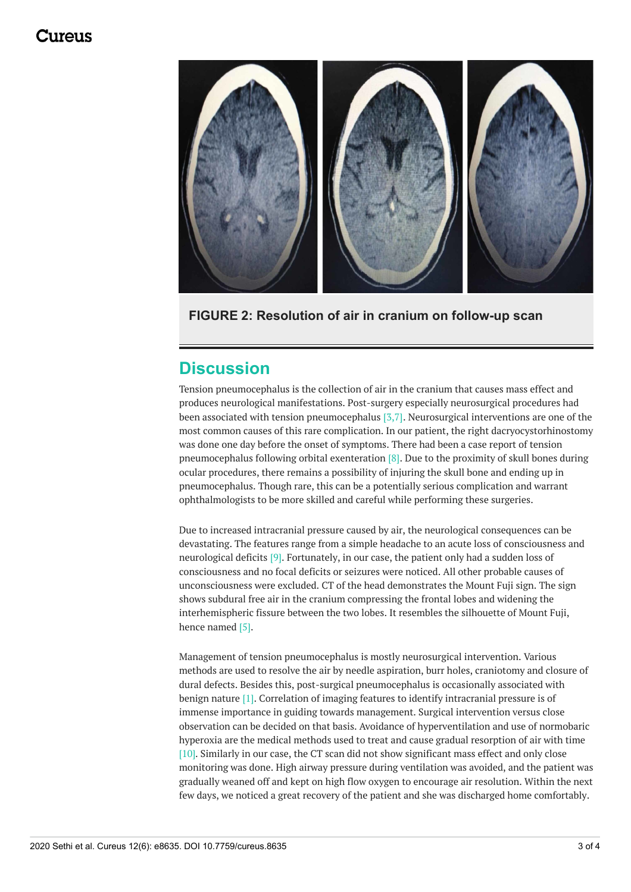#### 117A119



**FIGURE 2: Resolution of air in cranium on follow-up scan**

### **Discussion**

Tension pneumocephalus is the collection of air in the cranium that causes mass effect and produces neurological manifestations. Post-surgery especially neurosurgical procedures had been associated with tension pneumocephalus  $[3,7]$ . Neurosurgical interventions are one of the most common causes of this rare complication. In our patient, the right dacryocystorhinostomy was done one day before the onset of symptoms. There had been a case report of tension pneumocephalus following orbital exenteration [8]. Due to the proximity of skull bones during ocular procedures, there remains a possibility of injuring the skull bone and ending up in pneumocephalus. Though rare, this can be a potentially serious complication and warrant ophthalmologists to be more skilled and careful while performing these surgeries.

Due to increased intracranial pressure caused by air, the neurological consequences can be devastating. The features range from a simple headache to an acute loss of consciousness and neurological deficits [9]. Fortunately, in our case, the patient only had a sudden loss of consciousness and no focal deficits or seizures were noticed. All other probable causes of unconsciousness were excluded. CT of the head demonstrates the Mount Fuji sign. The sign shows subdural free air in the cranium compressing the frontal lobes and widening the interhemispheric fissure between the two lobes. It resembles the silhouette of Mount Fuji, hence named [5].

Management of tension pneumocephalus is mostly neurosurgical intervention. Various methods are used to resolve the air by needle aspiration, burr holes, craniotomy and closure of dural defects. Besides this, post-surgical pneumocephalus is occasionally associated with benign nature [1]. Correlation of imaging features to identify intracranial pressure is of immense importance in guiding towards management. Surgical intervention versus close observation can be decided on that basis. Avoidance of hyperventilation and use of normobaric hyperoxia are the medical methods used to treat and cause gradual resorption of air with time [10]. Similarly in our case, the CT scan did not show significant mass effect and only close monitoring was done. High airway pressure during ventilation was avoided, and the patient was gradually weaned off and kept on high flow oxygen to encourage air resolution. Within the next few days, we noticed a great recovery of the patient and she was discharged home comfortably.